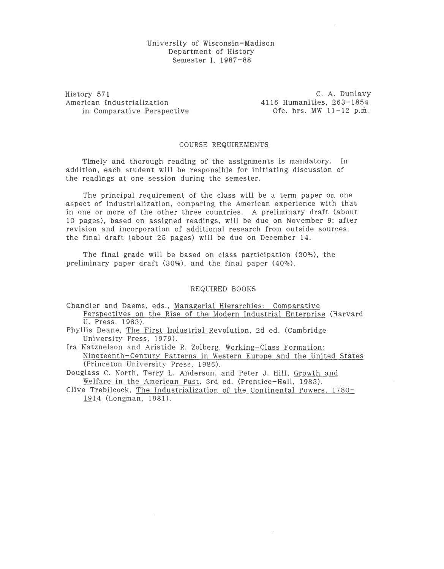## University of Wisconsin-Madison Department of History Semester I, 1987-88

History 571 American Industrialization in Comparative Perspective

C. A. Dunlavy 4116 Humanities, 263-1854<br>Ofc. hrs. MW 11-12 p.m.

## COURSE REQUIREMENTS

Timely and thorough reading of the assignments is mandatory. In addition, each student will be responsible for initiating discussion of the readings at one session during the semester.

The principal requirement of the class will be a term paper on one aspect of industrialization, comparing the American experience with that in one or more of the other three countries. A preliminary draft (about 10 pages), based on assigned readings, will be due on November 9; after revision and incorporation of additional research from outside sources, the final draft (about 25 pages) will be due on December 14.

The final grade will be based on class participation (30%), the preliminary paper draft (30%), and the final paper (40%).

## REQUIRED BOOKS

- Chandler and Daems, eds., Managerial Hierarchies: Comparative Perspectives on the Rise of the Modern Industrial Enterprise (Harvard U. Press, 1983).
- Phyllis Deane, The First Industrial Revolution, 2d ed. (Cambridge University Press, 1979).
- Ira Katznelson and Aristide R. Zolberg, Working-Class Formation: Nineteenth-Century Patterns in Western Europe and the United States (Princeton University Press, 1986).

Douglass C. North, Terry L. Anderson, and Peter J. Hill, Growth and Welfare in the American Past, 3rd ed. (Prentice-Hall, 1983).

Clive Trebilcock, The Industrialization of the Continental Powers, 1780- 1914 (Longman, 1981).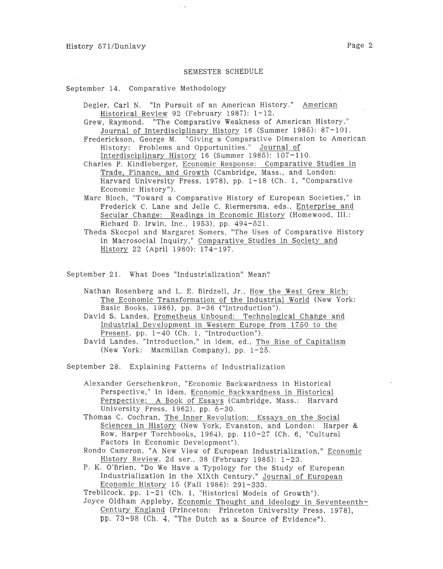## SEMESTER SCHEDULE

September 14. Comparative Methodology

- Degler, Carl N. "In Pursuit of an American History." American Historical Review 92 (February 1987): 1-12.
- Grew, Raymond. "The Comparative Weakness of American History." Journal of Interdisciplinary History 16 (Summer 1985): 87-101.
- Frederickson, George M. "Giving a Comparative Dimension to American History: Problems and Opportunities." Journal of Interdisciplinary History 16 (Summer 1985): 107-110.
- Charles P. Kindleberger, Economic Response: Comparative Studies in Trade, Finance, and Growth (Cambridge, Mass., and London: Harvard University Press, 1978), pp. 1-18 (Ch. 1, "Comparative Economic History").
- Marc Bloch, "Toward a Comparative History of European Societies," in Frederick C. Lane and Jelle C. Riermersma, eds., Enterprise and Secular Change: Readings in Economic History (Homewood, Ill.: Richard D. Irwin, Inc., 1953), pp. 494-521.
- Theda Skocpol and Margaret Somers, "The Uses of Comparative History in Macrosocial Inquiry," Comparative Studies in Society and History 22 (April 1980): 174-197.

September 21. What Does "Industrialization" Mean?

- Nathan Rosenberg and L. E. Birdzell, Jr., How the West Grew Rich: The Economic Transformation of the Industrial World (New York: Basic Books, 1986), pp. 3-36 ("Introduction").
- David S. Landes, Prometheus Unbound: Technological Change and Industrial De velopment in Western Europe from 1750 to the Present, pp.  $1-40$  (Ch. 1, "Introduction").
- David Landes, "Introduction," in idem, ed., The Rise of Capitalism (New York: Macmillan Company), pp. 1-25.

September 28. Explaining Patterns of Industrialization

- Alexander Gerschenkron, "Economic Backwardness in Historical Perspective," in idem, Economic Backwardness in Historical Perspective: A Book of Essays (Cambridge, Mass.: Harvard University Press, 1962), pp. 5-30.
- Thomas C. Cochran, The Inner Revolution: Essays on the Social Sciences in History (New York, Evanston, and London: Harper & Row, Harper Torchbooks, 1964), pp. 110-27 (Ch. 6, "Cultural Factors in Economic Development").
- Rondo Cameron, "A New View of European Industrialization," Economic History Review, 2d ser., 38 (February 1985): 1-23.
- P. K. O'Brien, "Do We Have a Typology for the Study of European Industrialization in the XIXth Century," Journal of European Economic History 15 (Fall 1986): 291-333.

Trebilcock, pp. 1-21 (Ch. 1, "Historical Models of Growth").

Joyce Oldham Appleby, Economic Thought and Ideology in Seventeenth-Century England (Princeton: Princeton University Press, 1978), pp. 73-98 (Ch. 4, "The Dutch as a Source of Evidence").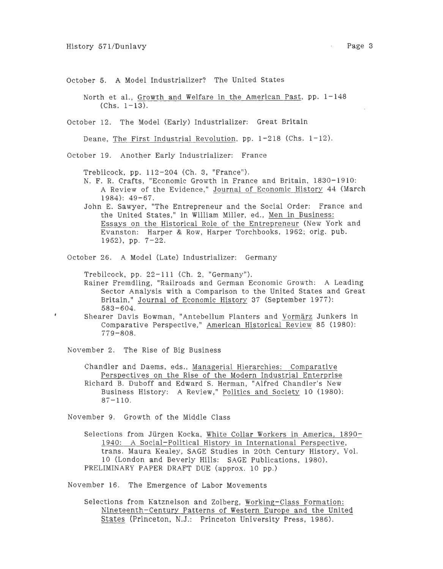October 5. A Model Industrializer? The United States

North et al., Growth and Welfare in the American Past, pp. 1-148  $(Chs. 1-13).$ 

October 12. The Model (Early) Industrializer: Great Britain

Deane, The First Industrial Revolution, pp. 1-218 (Chs. 1-12).

October 19. Another Early Industrializer: France

Trebilcock, pp. 112-204 (Ch. 3, "France").

N. F. R. Crafts, "Economic Growth in France and Britain, 1830-1910: A Review of the Evidence," Journal of Economic History 44 (March 1984): 49-67.

John E. Sawyer, "The Entrepreneur and the Social Order: France and the United States," in William Miller, ed., Men in Business: Essays on the Historical Role of the Entrepreneur (New York and Evanston: Harper & Row, Harper Torchbooks, 1962; orig. pub. 1952), pp. 7-22.

October 26. A Model (Late) Industrializer: Germany

Trebilcock, pp. 22-111 (Ch. 2, "Germany").

Rainer Fremdling, "Railroads and German Economic Growth: A Leading Sector Analysis with a Comparison to the United States and Great Britain," Journal of Economic History 37 (September 1977): 583-604.

Shearer Davis Bowman, "Antebellum Planters and Vormarz Junkers in Comparative Perspective," American Historical Review 85 (1980): 779-808.

November 2. The Rise of Big Business

 $\pmb{\theta}$ 

Chandler and Daems, eds., Managerial Hierarchies: Comparative Perspectives on the Rise of the Modern Industrial Enterprise Richard B. Duboff and Edward S. Herman, "Alfred Chandler's New Business History: A Review," Politics and Society 10 (1980):  $87 - 110$ .

November 9. Growth of the Middle Class

Selections from Jiirgen Kocka, White Collar Workers in America, 1890- 1940: A Social-Political History in International Perspective, trans. Maura Kealey, SAGE Studies in 20th Century History, Vol. 10 (London and Beverly Hills: SAGE Publications, 1980). PRELIMINARY PAPER DRAFT DUE (approx. 10 pp.)

November 16. The Emergence of Labor Movements

Selections from Katznelson and Zolberg, Working-Class Formation: Nineteenth-Century Patterns of Western Europe and the United States (Princeton, N.J.: Princeton University Press, 1986).